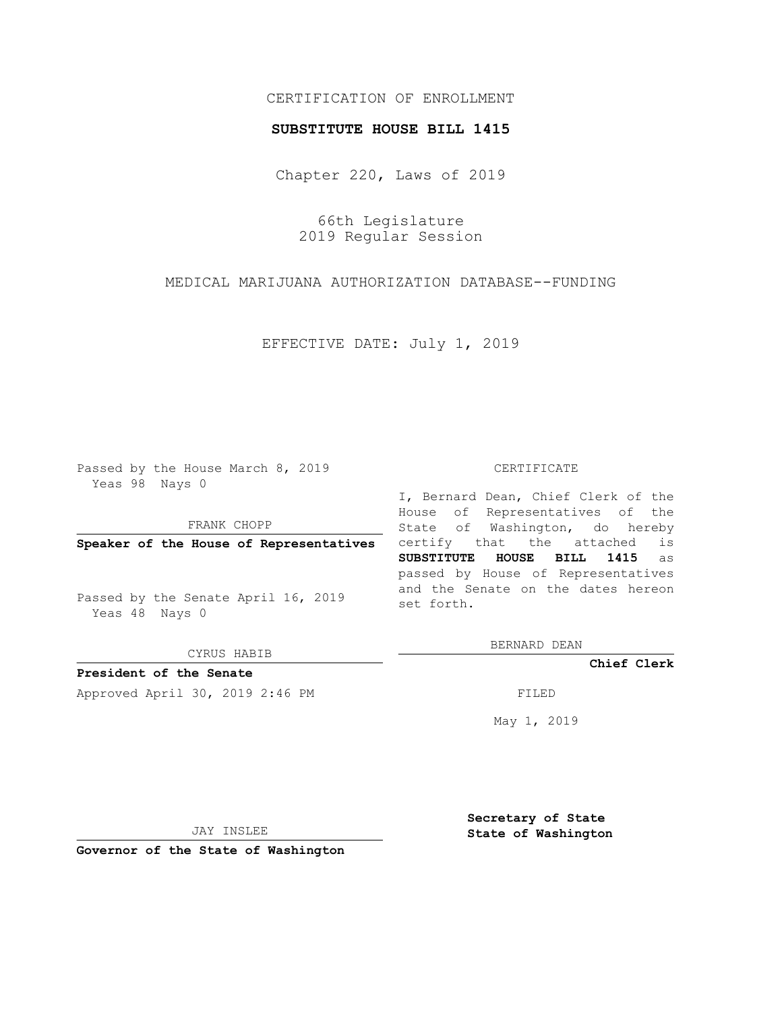## CERTIFICATION OF ENROLLMENT

## **SUBSTITUTE HOUSE BILL 1415**

Chapter 220, Laws of 2019

66th Legislature 2019 Regular Session

MEDICAL MARIJUANA AUTHORIZATION DATABASE--FUNDING

EFFECTIVE DATE: July 1, 2019

Passed by the House March 8, 2019 Yeas 98 Nays 0

FRANK CHOPP

**Speaker of the House of Representatives**

Passed by the Senate April 16, 2019 Yeas 48 Nays 0

CYRUS HABIB

**President of the Senate**

Approved April 30, 2019 2:46 PM FILED

## CERTIFICATE

I, Bernard Dean, Chief Clerk of the House of Representatives of the State of Washington, do hereby certify that the attached is **SUBSTITUTE HOUSE BILL 1415** as passed by House of Representatives and the Senate on the dates hereon set forth.

BERNARD DEAN

**Chief Clerk**

May 1, 2019

JAY INSLEE

**Governor of the State of Washington**

**Secretary of State State of Washington**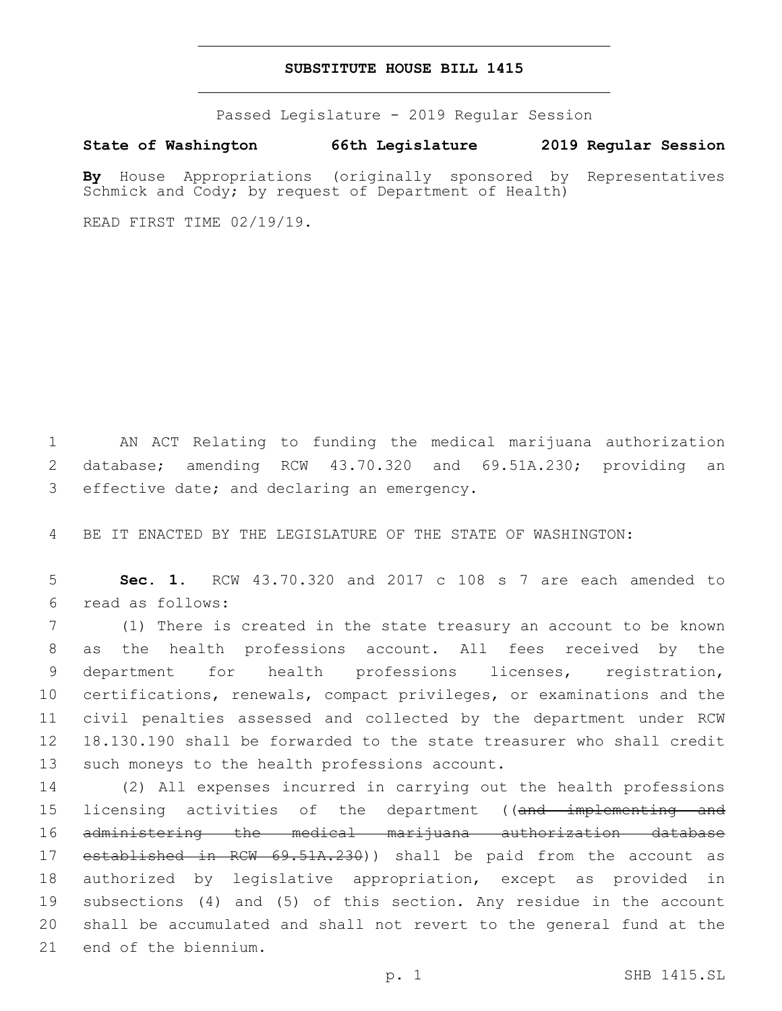## **SUBSTITUTE HOUSE BILL 1415**

Passed Legislature - 2019 Regular Session

**State of Washington 66th Legislature 2019 Regular Session**

**By** House Appropriations (originally sponsored by Representatives Schmick and Cody; by request of Department of Health)

READ FIRST TIME 02/19/19.

1 AN ACT Relating to funding the medical marijuana authorization 2 database; amending RCW 43.70.320 and 69.51A.230; providing an 3 effective date; and declaring an emergency.

4 BE IT ENACTED BY THE LEGISLATURE OF THE STATE OF WASHINGTON:

5 **Sec. 1.** RCW 43.70.320 and 2017 c 108 s 7 are each amended to read as follows:6

 (1) There is created in the state treasury an account to be known as the health professions account. All fees received by the department for health professions licenses, registration, certifications, renewals, compact privileges, or examinations and the civil penalties assessed and collected by the department under RCW 18.130.190 shall be forwarded to the state treasurer who shall credit 13 such moneys to the health professions account.

 (2) All expenses incurred in carrying out the health professions 15 licensing activities of the department ((and implementing and administering the medical marijuana authorization database 17 established in RCW 69.51A.230)) shall be paid from the account as authorized by legislative appropriation, except as provided in subsections (4) and (5) of this section. Any residue in the account shall be accumulated and shall not revert to the general fund at the 21 end of the biennium.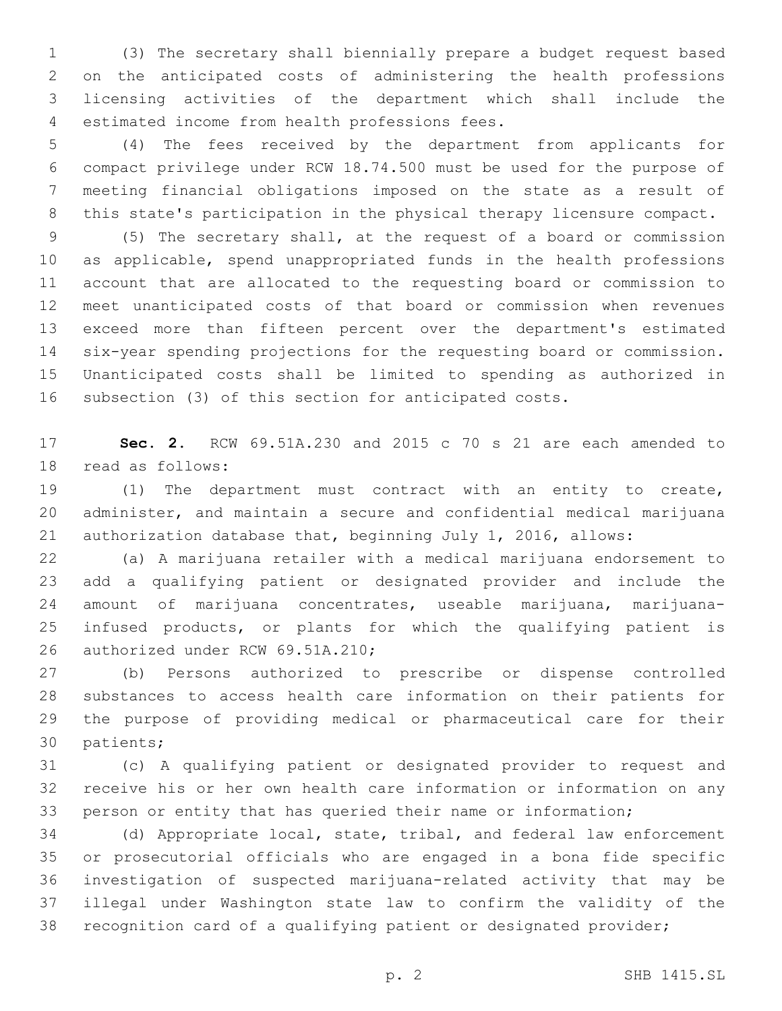(3) The secretary shall biennially prepare a budget request based on the anticipated costs of administering the health professions licensing activities of the department which shall include the estimated income from health professions fees.4

 (4) The fees received by the department from applicants for compact privilege under RCW 18.74.500 must be used for the purpose of meeting financial obligations imposed on the state as a result of this state's participation in the physical therapy licensure compact.

 (5) The secretary shall, at the request of a board or commission as applicable, spend unappropriated funds in the health professions account that are allocated to the requesting board or commission to meet unanticipated costs of that board or commission when revenues exceed more than fifteen percent over the department's estimated six-year spending projections for the requesting board or commission. Unanticipated costs shall be limited to spending as authorized in subsection (3) of this section for anticipated costs.

 **Sec. 2.** RCW 69.51A.230 and 2015 c 70 s 21 are each amended to 18 read as follows:

 (1) The department must contract with an entity to create, administer, and maintain a secure and confidential medical marijuana authorization database that, beginning July 1, 2016, allows:

 (a) A marijuana retailer with a medical marijuana endorsement to add a qualifying patient or designated provider and include the amount of marijuana concentrates, useable marijuana, marijuana- infused products, or plants for which the qualifying patient is 26 authorized under RCW 69.51A.210;

 (b) Persons authorized to prescribe or dispense controlled substances to access health care information on their patients for the purpose of providing medical or pharmaceutical care for their 30 patients;

 (c) A qualifying patient or designated provider to request and receive his or her own health care information or information on any person or entity that has queried their name or information;

 (d) Appropriate local, state, tribal, and federal law enforcement or prosecutorial officials who are engaged in a bona fide specific investigation of suspected marijuana-related activity that may be illegal under Washington state law to confirm the validity of the recognition card of a qualifying patient or designated provider;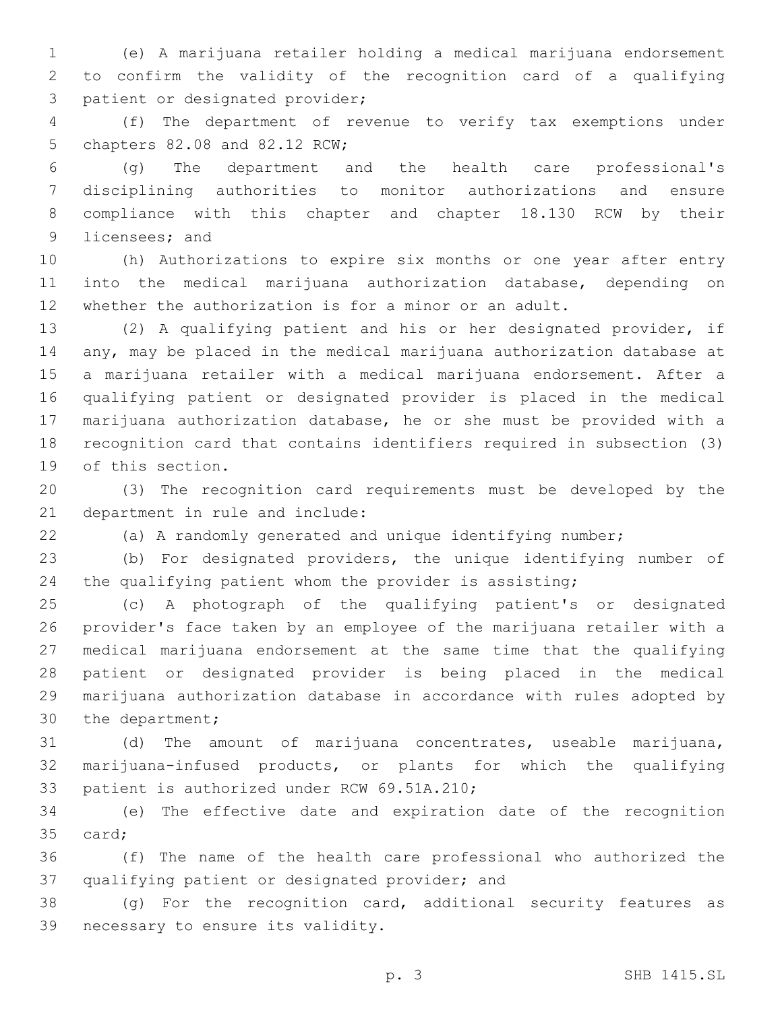(e) A marijuana retailer holding a medical marijuana endorsement to confirm the validity of the recognition card of a qualifying 3 patient or designated provider;

 (f) The department of revenue to verify tax exemptions under 5 chapters 82.08 and 82.12 RCW;

 (g) The department and the health care professional's disciplining authorities to monitor authorizations and ensure compliance with this chapter and chapter 18.130 RCW by their 9 licensees; and

 (h) Authorizations to expire six months or one year after entry into the medical marijuana authorization database, depending on whether the authorization is for a minor or an adult.

 (2) A qualifying patient and his or her designated provider, if any, may be placed in the medical marijuana authorization database at a marijuana retailer with a medical marijuana endorsement. After a qualifying patient or designated provider is placed in the medical marijuana authorization database, he or she must be provided with a recognition card that contains identifiers required in subsection (3) 19 of this section.

 (3) The recognition card requirements must be developed by the 21 department in rule and include:

(a) A randomly generated and unique identifying number;

 (b) For designated providers, the unique identifying number of the qualifying patient whom the provider is assisting;

 (c) A photograph of the qualifying patient's or designated provider's face taken by an employee of the marijuana retailer with a medical marijuana endorsement at the same time that the qualifying patient or designated provider is being placed in the medical marijuana authorization database in accordance with rules adopted by 30 the department;

 (d) The amount of marijuana concentrates, useable marijuana, marijuana-infused products, or plants for which the qualifying 33 patient is authorized under RCW 69.51A.210;

 (e) The effective date and expiration date of the recognition 35 card;

 (f) The name of the health care professional who authorized the 37 qualifying patient or designated provider; and

 (g) For the recognition card, additional security features as 39 necessary to ensure its validity.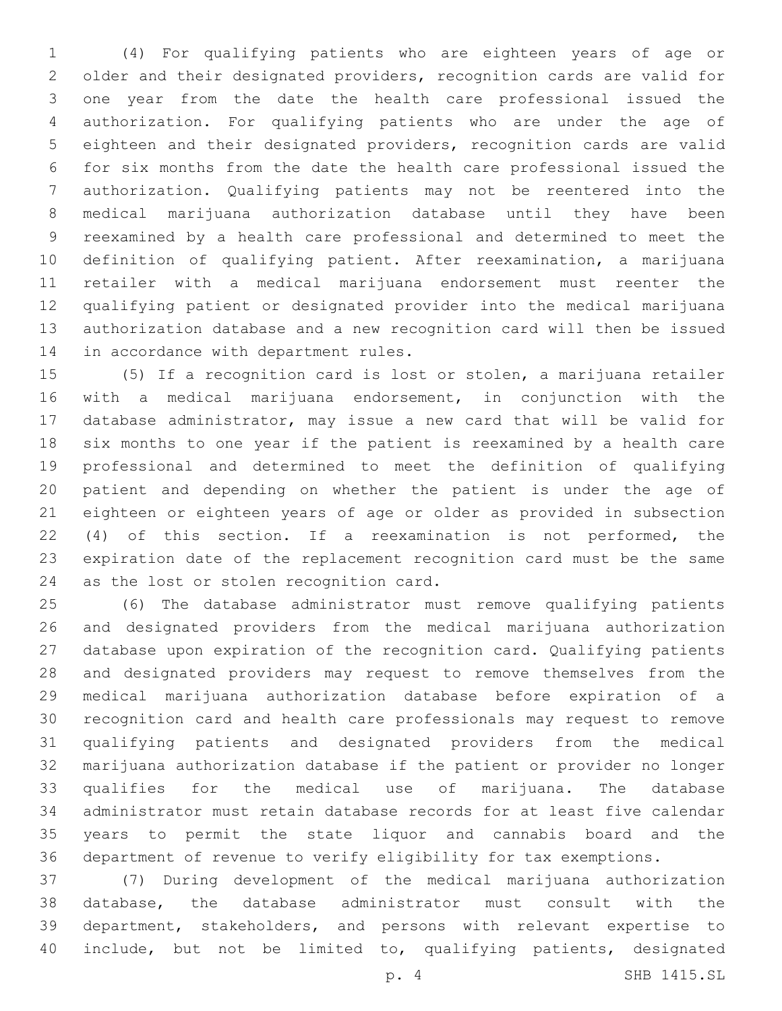(4) For qualifying patients who are eighteen years of age or older and their designated providers, recognition cards are valid for one year from the date the health care professional issued the authorization. For qualifying patients who are under the age of eighteen and their designated providers, recognition cards are valid for six months from the date the health care professional issued the authorization. Qualifying patients may not be reentered into the medical marijuana authorization database until they have been reexamined by a health care professional and determined to meet the definition of qualifying patient. After reexamination, a marijuana retailer with a medical marijuana endorsement must reenter the qualifying patient or designated provider into the medical marijuana authorization database and a new recognition card will then be issued 14 in accordance with department rules.

 (5) If a recognition card is lost or stolen, a marijuana retailer with a medical marijuana endorsement, in conjunction with the database administrator, may issue a new card that will be valid for six months to one year if the patient is reexamined by a health care professional and determined to meet the definition of qualifying patient and depending on whether the patient is under the age of eighteen or eighteen years of age or older as provided in subsection (4) of this section. If a reexamination is not performed, the expiration date of the replacement recognition card must be the same 24 as the lost or stolen recognition card.

 (6) The database administrator must remove qualifying patients and designated providers from the medical marijuana authorization database upon expiration of the recognition card. Qualifying patients and designated providers may request to remove themselves from the medical marijuana authorization database before expiration of a recognition card and health care professionals may request to remove qualifying patients and designated providers from the medical marijuana authorization database if the patient or provider no longer qualifies for the medical use of marijuana. The database administrator must retain database records for at least five calendar years to permit the state liquor and cannabis board and the department of revenue to verify eligibility for tax exemptions.

 (7) During development of the medical marijuana authorization database, the database administrator must consult with the department, stakeholders, and persons with relevant expertise to include, but not be limited to, qualifying patients, designated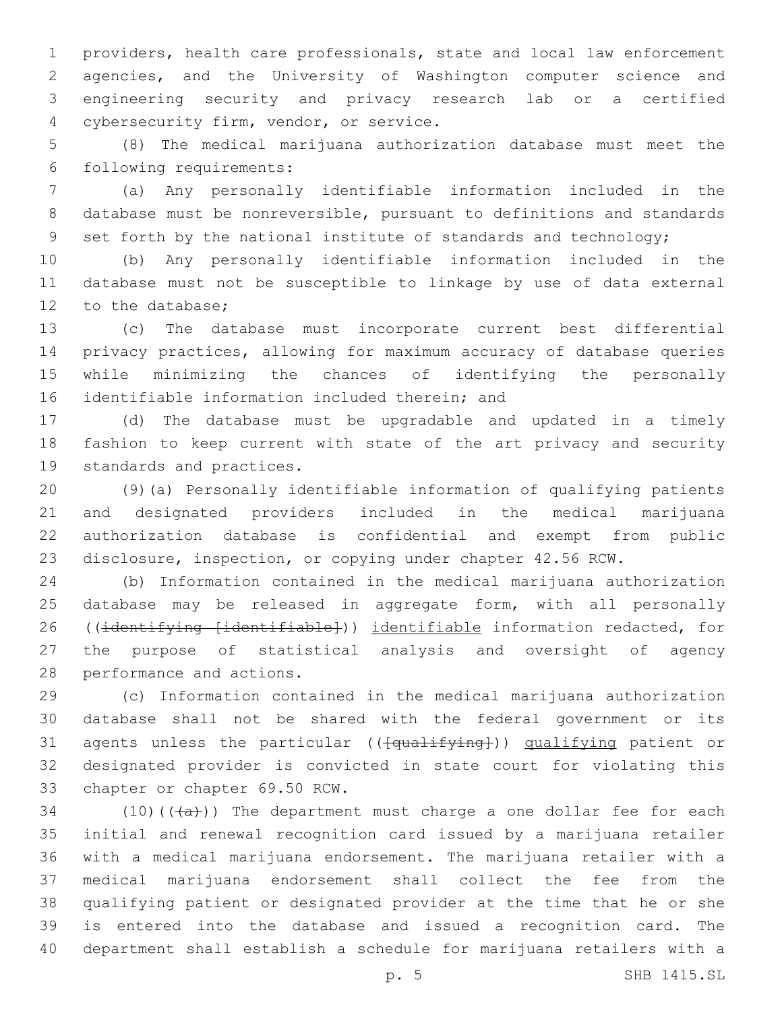providers, health care professionals, state and local law enforcement agencies, and the University of Washington computer science and engineering security and privacy research lab or a certified 4 cybersecurity firm, vendor, or service.

 (8) The medical marijuana authorization database must meet the following requirements:6

 (a) Any personally identifiable information included in the database must be nonreversible, pursuant to definitions and standards 9 set forth by the national institute of standards and technology;

 (b) Any personally identifiable information included in the database must not be susceptible to linkage by use of data external 12 to the database;

 (c) The database must incorporate current best differential privacy practices, allowing for maximum accuracy of database queries while minimizing the chances of identifying the personally 16 identifiable information included therein; and

 (d) The database must be upgradable and updated in a timely fashion to keep current with state of the art privacy and security 19 standards and practices.

 (9)(a) Personally identifiable information of qualifying patients and designated providers included in the medical marijuana authorization database is confidential and exempt from public disclosure, inspection, or copying under chapter 42.56 RCW.

 (b) Information contained in the medical marijuana authorization database may be released in aggregate form, with all personally 26 ((identifying [identifiable])) identifiable information redacted, for the purpose of statistical analysis and oversight of agency 28 performance and actions.

 (c) Information contained in the medical marijuana authorization database shall not be shared with the federal government or its 31 agents unless the particular (( $\overline{\text{qualifying}}$ )) qualifying patient or designated provider is convicted in state court for violating this 33 chapter or chapter 69.50 RCW.

34 (10)( $(\overline{a})$ ) The department must charge a one dollar fee for each initial and renewal recognition card issued by a marijuana retailer with a medical marijuana endorsement. The marijuana retailer with a medical marijuana endorsement shall collect the fee from the qualifying patient or designated provider at the time that he or she is entered into the database and issued a recognition card. The department shall establish a schedule for marijuana retailers with a